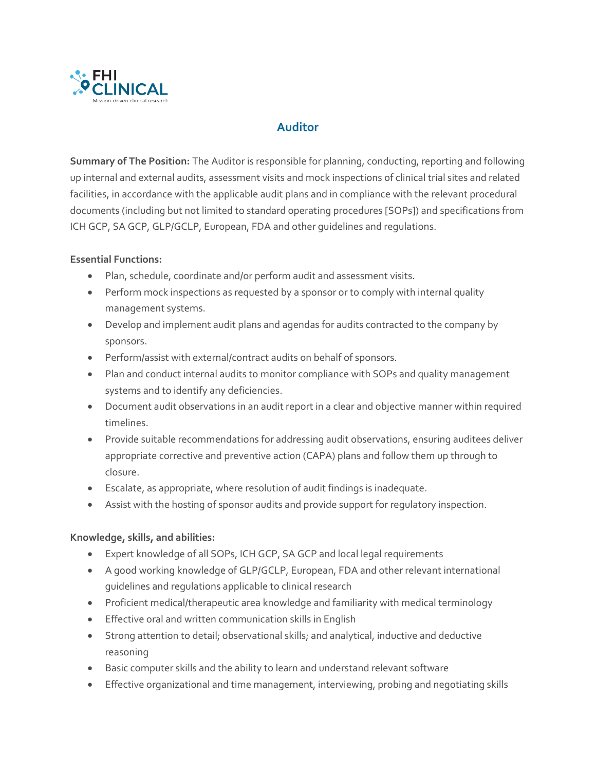

## **Auditor**

**Summary of The Position:** The Auditor is responsible for planning, conducting, reporting and following up internal and external audits, assessment visits and mock inspections of clinical trial sites and related facilities, in accordance with the applicable audit plans and in compliance with the relevant procedural documents (including but not limited to standard operating procedures [SOPs]) and specifications from ICH GCP, SA GCP, GLP/GCLP, European, FDA and other guidelines and regulations.

## **Essential Functions:**

- Plan, schedule, coordinate and/or perform audit and assessment visits.
- Perform mock inspections as requested by a sponsor or to comply with internal quality management systems.
- Develop and implement audit plans and agendas for audits contracted to the company by sponsors.
- Perform/assist with external/contract audits on behalf of sponsors.
- Plan and conduct internal audits to monitor compliance with SOPs and quality management systems and to identify any deficiencies.
- Document audit observations in an audit report in a clear and objective manner within required timelines.
- Provide suitable recommendations for addressing audit observations, ensuring auditees deliver appropriate corrective and preventive action (CAPA) plans and follow them up through to closure.
- Escalate, as appropriate, where resolution of audit findings is inadequate.
- Assist with the hosting of sponsor audits and provide support for regulatory inspection.

## **Knowledge, skills, and abilities:**

- Expert knowledge of all SOPs, ICH GCP, SA GCP and local legal requirements
- A good working knowledge of GLP/GCLP, European, FDA and other relevant international guidelines and regulations applicable to clinical research
- Proficient medical/therapeutic area knowledge and familiarity with medical terminology
- Effective oral and written communication skills in English
- Strong attention to detail; observational skills; and analytical, inductive and deductive reasoning
- Basic computer skills and the ability to learn and understand relevant software
- Effective organizational and time management, interviewing, probing and negotiating skills